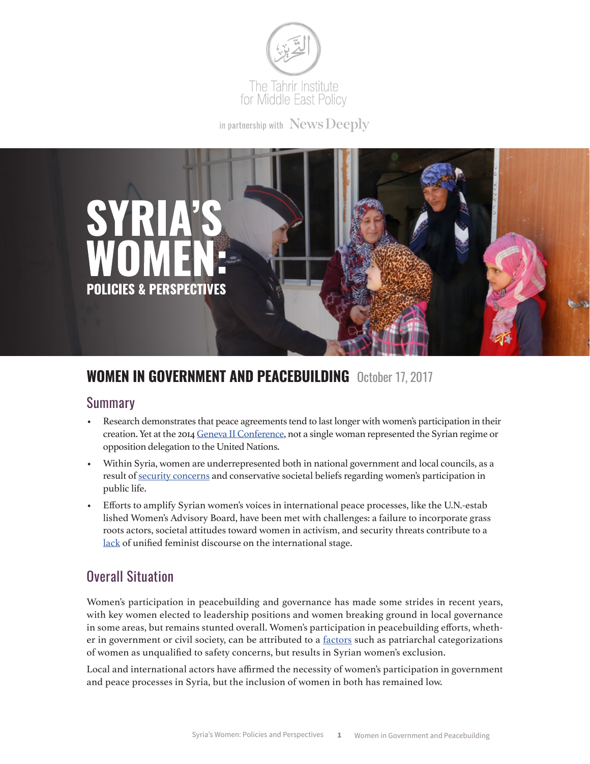

in partnership with News Deeply



# **WOMEN IN GOVERNMENT AND PEACEBUILDING** October 17, 2017

#### Summary

- Research demonstrates that peace agreements tend to last longer with women's participation in their creation. Yet at the 2014 [Geneva II Conference](http://law.emory.edu/eilr/content/volume-30/issue-2/articles/inclusion-exclusion-women-syria.html#section-2177655198eaf86faecf80c436cda905), not a single woman represented the Syrian regime or opposition delegation to the United Nations.
- Within Syria, women are underrepresented both in national government and local councils, as a result of [security concerns](http://www.inclusivesecurity.org/wp-content/uploads/2014/02/SyrianMemoFinal_Web.pdf) and conservative societal beliefs regarding women's participation in public life.
- Efforts to amplify Syrian women's voices in international peace processes, like the U.N.-estab lished Women's Advisory Board, have been met with challenges: a failure to incorporate grass roots actors, societal attitudes toward women in activism, and security threats contribute to a [lack](http://badael.org/wp-content/uploads/2016/01/Peacebuilding_Syria_20Jan.pdf) of unified feminist discourse on the international stage.

## Overall Situation

Women's participation in peacebuilding and governance has made some strides in recent years, with key women elected to leadership positions and women breaking ground in local governance in some areas, but remains stunted overall. Women's participation in peacebuilding efforts, whether in government or civil society, can be attributed to a [factors](http://kvinnatillkvinna.se/en/files/2017/06/syrian-women-in-political-processes-ktk.pdf) such as patriarchal categorizations of women as unqualified to safety concerns, but results in Syrian women's exclusion.

Local and international actors have affirmed the necessity of women's participation in government and peace processes in Syria, but the inclusion of women in both has remained low.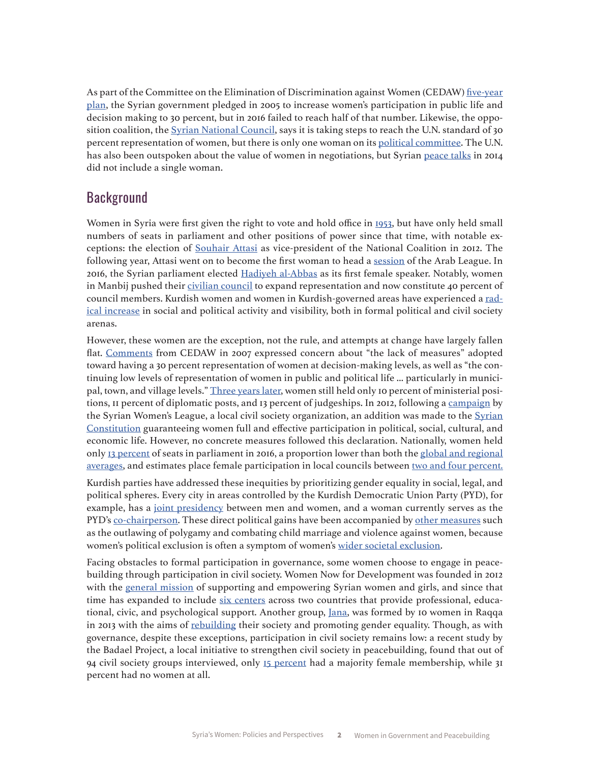As part of the Committee on the Elimination of Discrimination against Women (CEDAW) [five-year](http://docstore.ohchr.org/SelfServices/FilesHandler.ashx?enc=6QkG1d%2FPPRiCAqhKb7yhskcAJS%2FU4wb%2BdIVicvG05RxetcZrUyjA8XIWAVWSrr%2FB8TNYBE4Jtc6RbEmGl7cCZ1ILo3RjPOH%2BvxwNDw38brAmqjmbj%2BUimMlqTojdA6JJ) [plan](http://docstore.ohchr.org/SelfServices/FilesHandler.ashx?enc=6QkG1d%2FPPRiCAqhKb7yhskcAJS%2FU4wb%2BdIVicvG05RxetcZrUyjA8XIWAVWSrr%2FB8TNYBE4Jtc6RbEmGl7cCZ1ILo3RjPOH%2BvxwNDw38brAmqjmbj%2BUimMlqTojdA6JJ), the Syrian government pledged in 2005 to increase women's participation in public life and decision making to 30 percent, but in 2016 failed to reach half of that number. Likewise, the oppo-sition coalition, the [Syrian National Council](http://en.etilaf.org/all-news/news/syrian-coalition-to-increase-women-representation-by-15.html), says it is taking steps to reach the U.N. standard of 30 percent representation of women, but there is only one woman on its [political committee](http://en.etilaf.org/coalition-components/general-body/political-committee.html). The U.N. has also been outspoken about the value of women in negotiations, but Syrian [peace talks](http://law.emory.edu/eilr/content/volume-30/issue-2/articles/inclusion-exclusion-women-syria.html#section-2177655198eaf86faecf80c436cda905) in 2014 did not include a single woman.

#### **Background**

Women in Syria were first given the right to vote and hold office in [1953](https://www.rt.com/news/345576-female-parliament-speaker-syria/), but have only held small numbers of seats in parliament and other positions of power since that time, with notable exceptions: the election of [Souhair Attasi](http://carnegie-mec.org/diwan/48619?lang=en) as vice-president of the National Coalition in 2012. The following year, Attasi went on to become the first woman to head a [session](http://english.alarabiya.net/en/perspective/2013/03/27/Suhair-Atassi-.html) of the Arab League. In 2016, the Syrian parliament elected [Hadiyeh al-Abbas](https://www.rt.com/news/345576-female-parliament-speaker-syria/) as its first female speaker. Notably, women in Manbij pushed their [civilian council](http://aranews.net/2017/01/syrian-city-liberated-from-isis-expands-council-to-better-represent-community/) to expand representation and now constitute 40 percent of council members. Kurdish women and women in Kurdish-governed areas have experienced a [rad](http://www.reuters.com/article/us-mideast-crisis-syria-women-idUSKCN0W20F4)[ical increase](http://www.reuters.com/article/us-mideast-crisis-syria-women-idUSKCN0W20F4) in social and political activity and visibility, both in formal political and civil society arenas.

However, these women are the exception, not the rule, and attempts at change have largely fallen flat. [Comments](http://www.un.org/womenwatch/daw/cedaw/cdrom_cedaw/EN/files/cedaw25years/content/english/CONCLUDING_COMMENTS_ENGLISH/Syrian Arab Republic/Syrian Arab Republic CO-1.pdf) from CEDAW in 2007 expressed concern about "the lack of measures" adopted toward having a 30 percent representation of women at decision-making levels, as well as "the continuing low levels of representation of women in public and political life ... particularly in municipal, town, and village levels." [Three years later,](https://giwps.georgetown.edu/sites/giwps/files/occasional_paper_series_volume_i_-_womens_economic_participation.pdf) women still held only 10 percent of ministerial positions, II percent of diplomatic posts, and 13 percent of judgeships. In 2012, following a [campaign](http://kvinnatillkvinna.se/en/files/2017/06/syrian-women-in-political-processes-ktk.pdf) by the [Syrian](https://www.scribd.com/doc/81771718/Qordoba-Translation-of-the-Syrian-Constitution-Modifications-15-2-2012) Women's League, a local civil society organization, an addition was made to the Syrian [Constitution](https://www.scribd.com/doc/81771718/Qordoba-Translation-of-the-Syrian-Constitution-Modifications-15-2-2012) guaranteeing women full and effective participation in political, social, cultural, and economic life. However, no concrete measures followed this declaration. Nationally, women held only [13 percent](http://wdi.worldbank.org/table/WV.5) of seats in parliament in 2016, a proportion lower than both the [global and regional](http://www.ipu.org/wmn-e/world.htm) [averages,](http://www.ipu.org/wmn-e/world.htm) and estimates place female participation in local councils between [two and four percent.](http://kvinnatillkvinna.se/en/files/2017/06/syrian-women-in-political-processes-ktk.pdf)

Kurdish parties have addressed these inequities by prioritizing gender equality in social, legal, and political spheres. Every city in areas controlled by the Kurdish Democratic Union Party (PYD), for example, has a [joint presidency](http://www.reuters.com/article/us-mideast-crisis-syria-women-idUSKCN0W20F4) between men and women, and a woman currently serves as the PYD's [co-chairperson.](http://www.independent.co.uk/news/world/middle-east/kurdish-woman-building-feminist-democrac-fighting-isis-at-the-same-time-syria-kurdistan-rojava-new-a7487151.html) These direct political gains have been accompanied by [other measures](http://www.reuters.com/article/us-mideast-crisis-syria-women-idUSKCN0W20F4) such as the outlawing of polygamy and combating child marriage and violence against women, because women's political exclusion is often a symptom of women's [wider societal exclusion](https://www.integrityglobal.com/wp-content/uploads/Syrian-womens-NGOs-and-Geneva-II.pdf).

Facing obstacles to formal participation in governance, some women choose to engage in peacebuilding through participation in civil society. Women Now for Development was founded in 2012 with the [general mission](http://www.women-now.org/wp-content/uploads/2015/05/SFD-Annual-report-2014-.pdf) of supporting and empowering Syrian women and girls, and since that time has expanded to include [six centers](http://www.women-now.org/women-now-center/) across two countries that provide professional, educa-tional, civic, and psychological support. Another group, [Jana](http://www.syriauntold.com/en/2013/11/jana-women-of-raqqa-reclaim-their-place-in-society/), was formed by 10 women in Raqqa in 2013 with the aims of [rebuilding](https://www.opendemocracy.net/north-africa-west-asia/leila-al-shami/fighting-on-all-fronts-women-s-resistance-in-syria) their society and promoting gender equality. Though, as with governance, despite these exceptions, participation in civil society remains low: a recent study by the Badael Project, a local initiative to strengthen civil society in peacebuilding, found that out of 94 civil society groups interviewed, only [15 percent](http://library.fes.de/pdf-files/bueros/beirut/11162.pdf) had a majority female membership, while 31 percent had no women at all.